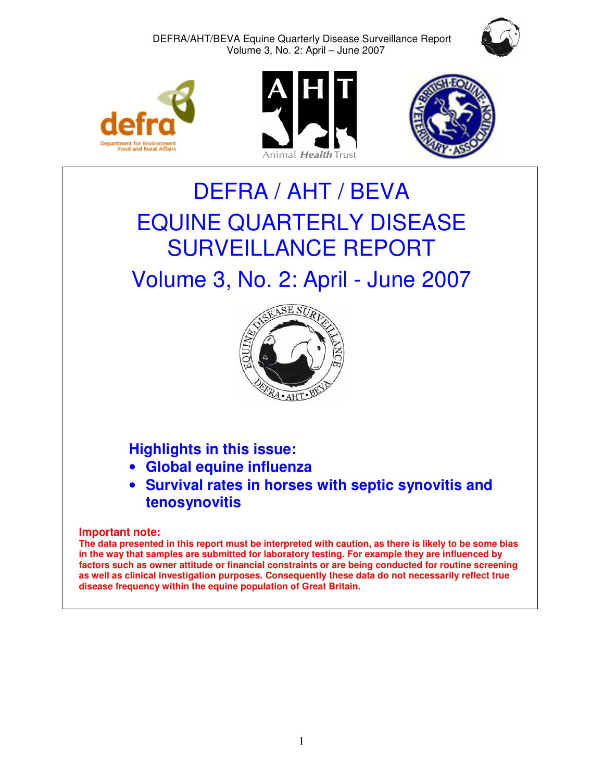









# DEFRA / AHT / BEVA EQUINE QUARTERLY DISEASE SURVEILLANCE REPORT

## Volume 3, No. 2: April - June 2007



### **Highlights in this issue:**

- **Global equine influenza**
- **Survival rates in horses with septic synovitis and tenosynovitis**

**Important note:**

The data presented in this report must be interpreted with caution, as there is likely to be some bias **in the way that samples are submitted for laboratory testing. For example they are influenced by factors such as owner attitude or financial constraints or are being conducted for routine screening as well as clinical investigation purposes. Consequently these data do not necessarily reflect true disease frequency within the equine population of Great Britain.**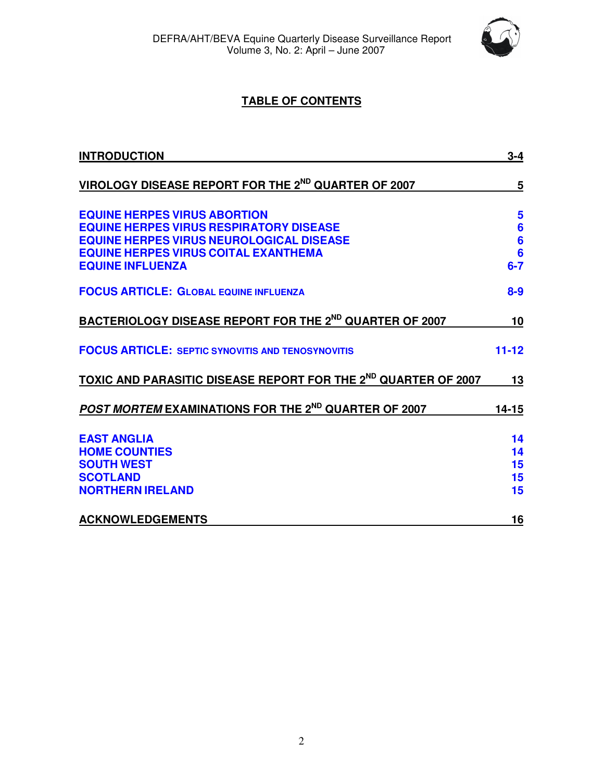

#### **TABLE OF CONTENTS**

| <b>INTRODUCTION</b>                                                                                                                                                                                                | $3 - 4$                                                               |
|--------------------------------------------------------------------------------------------------------------------------------------------------------------------------------------------------------------------|-----------------------------------------------------------------------|
| VIROLOGY DISEASE REPORT FOR THE 2 <sup>ND</sup> QUARTER OF 2007                                                                                                                                                    | 5                                                                     |
| <b>EQUINE HERPES VIRUS ABORTION</b><br><b>EQUINE HERPES VIRUS RESPIRATORY DISEASE</b><br><b>EQUINE HERPES VIRUS NEUROLOGICAL DISEASE</b><br><b>EQUINE HERPES VIRUS COITAL EXANTHEMA</b><br><b>EQUINE INFLUENZA</b> | 5<br>$6\phantom{1}6$<br>$6\phantom{1}6$<br>$6\phantom{1}6$<br>$6 - 7$ |
| <b>FOCUS ARTICLE: GLOBAL EQUINE INFLUENZA</b>                                                                                                                                                                      | $8 - 9$                                                               |
| <b>BACTERIOLOGY DISEASE REPORT FOR THE 2ND QUARTER OF 2007</b>                                                                                                                                                     | 10                                                                    |
| <b>FOCUS ARTICLE: SEPTIC SYNOVITIS AND TENOSYNOVITIS</b>                                                                                                                                                           | $11 - 12$                                                             |
| TOXIC AND PARASITIC DISEASE REPORT FOR THE 2ND QUARTER OF 2007                                                                                                                                                     | 13                                                                    |
| POST MORTEM EXAMINATIONS FOR THE 2 <sup>ND</sup> QUARTER OF 2007                                                                                                                                                   | 14-15                                                                 |
| <b>EAST ANGLIA</b><br><b>HOME COUNTIES</b><br><b>SOUTH WEST</b><br><b>SCOTLAND</b><br><b>NORTHERN IRELAND</b>                                                                                                      | 14<br>14<br>15<br>15<br>15                                            |
| <b>ACKNOWLEDGEMENTS</b>                                                                                                                                                                                            | 16                                                                    |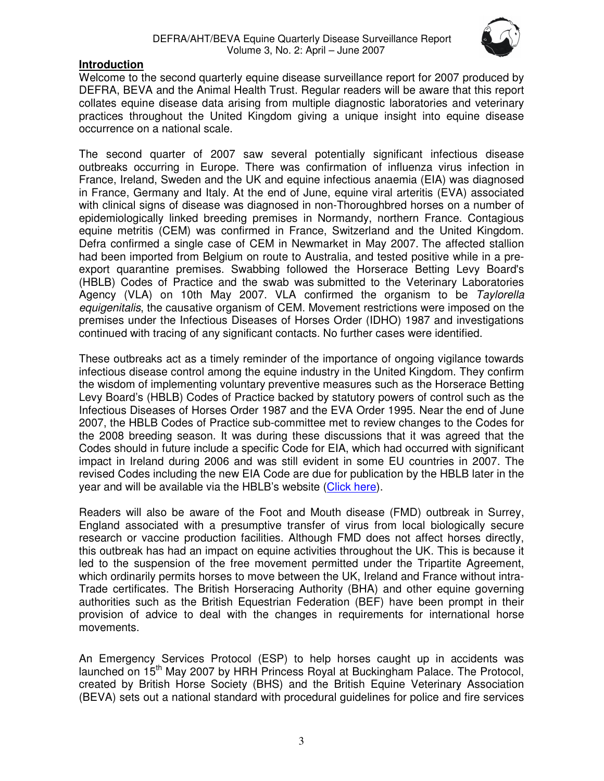

#### **Introduction**

Welcome to the second quarterly equine disease surveillance report for 2007 produced by DEFRA, BEVA and the Animal Health Trust. Regular readers will be aware that this report collates equine disease data arising from multiple diagnostic laboratories and veterinary practices throughout the United Kingdom giving a unique insight into equine disease occurrence on a national scale.

The second quarter of 2007 saw several potentially significant infectious disease outbreaks occurring in Europe. There was confirmation of influenza virus infection in France, Ireland, Sweden and the UK and equine infectious anaemia (EIA) was diagnosed in France, Germany and Italy. At the end of June, equine viral arteritis (EVA) associated with clinical signs of disease was diagnosed in non-Thoroughbred horses on a number of epidemiologically linked breeding premises in Normandy, northern France. Contagious equine metritis (CEM) was confirmed in France, Switzerland and the United Kingdom. Defra confirmed a single case of CEM in Newmarket in May 2007. The affected stallion had been imported from Belgium on route to Australia, and tested positive while in a preexport quarantine premises. Swabbing followed the Horserace Betting Levy Board's (HBLB) Codes of Practice and the swab was submitted to the Veterinary Laboratories Agency (VLA) on 10th May 2007. VLA confirmed the organism to be *Taylorella equigenitalis*, the causative organism of CEM. Movement restrictions were imposed on the premises under the Infectious Diseases of Horses Order (IDHO) 1987 and investigations continued with tracing of any significant contacts. No further cases were identified.

These outbreaks act as a timely reminder of the importance of ongoing vigilance towards infectious disease control among the equine industry in the United Kingdom. They confirm the wisdom of implementing voluntary preventive measures such as the Horserace Betting Levy Board's (HBLB) Codes of Practice backed by statutory powers of control such as the Infectious Diseases of Horses Order 1987 and the EVA Order 1995. Near the end of June 2007, the HBLB Codes of Practice sub-committee met to review changes to the Codes for the 2008 breeding season. It was during these discussions that it was agreed that the Codes should in future include a specific Code for EIA, which had occurred with significant impact in Ireland during 2006 and was still evident in some EU countries in 2007. The revised Codes including the new EIA Code are due for publication by the HBLB later in the year and will be available via the HBLB's website (Click here).

Readers will also be aware of the Foot and Mouth disease (FMD) outbreak in Surrey, England associated with a presumptive transfer of virus from local biologically secure research or vaccine production facilities. Although FMD does not affect horses directly, this outbreak has had an impact on equine activities throughout the UK. This is because it led to the suspension of the free movement permitted under the Tripartite Agreement, which ordinarily permits horses to move between the UK, Ireland and France without intra-Trade certificates. The British Horseracing Authority (BHA) and other equine governing authorities such as the British Equestrian Federation (BEF) have been prompt in their provision of advice to deal with the changes in requirements for international horse movements.

An Emergency Services Protocol (ESP) to help horses caught up in accidents was launched on 15<sup>th</sup> May 2007 by HRH Princess Royal at Buckingham Palace. The Protocol, created by British Horse Society (BHS) and the British Equine Veterinary Association (BEVA) sets out a national standard with procedural guidelines for police and fire services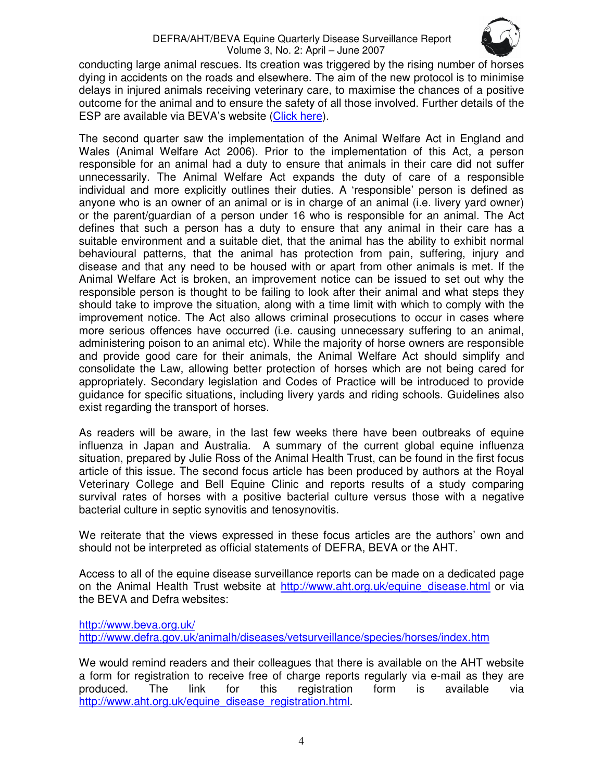

conducting large animal rescues. Its creation was triggered by the rising number of horses dying in accidents on the roads and elsewhere. The aim of the new protocol is to minimise delays in injured animals receiving veterinary care, to maximise the chances of a positive outcome for the animal and to ensure the safety of all those involved. Further details of the ESP are available via BEVA's website (Click here).

The second quarter saw the implementation of the Animal Welfare Act in England and Wales (Animal Welfare Act 2006). Prior to the implementation of this Act, a person responsible for an animal had a duty to ensure that animals in their care did not suffer unnecessarily. The Animal Welfare Act expands the duty of care of a responsible individual and more explicitly outlines their duties. A 'responsible' person is defined as anyone who is an owner of an animal or is in charge of an animal (i.e. livery yard owner) or the parent/guardian of a person under 16 who is responsible for an animal. The Act defines that such a person has a duty to ensure that any animal in their care has a suitable environment and a suitable diet, that the animal has the ability to exhibit normal behavioural patterns, that the animal has protection from pain, suffering, injury and disease and that any need to be housed with or apart from other animals is met. If the Animal Welfare Act is broken, an improvement notice can be issued to set out why the responsible person is thought to be failing to look after their animal and what steps they should take to improve the situation, along with a time limit with which to comply with the improvement notice. The Act also allows criminal prosecutions to occur in cases where more serious offences have occurred (i.e. causing unnecessary suffering to an animal, administering poison to an animal etc). While the majority of horse owners are responsible and provide good care for their animals, the Animal Welfare Act should simplify and consolidate the Law, allowing better protection of horses which are not being cared for appropriately. Secondary legislation and Codes of Practice will be introduced to provide guidance for specific situations, including livery yards and riding schools. Guidelines also exist regarding the transport of horses.

As readers will be aware, in the last few weeks there have been outbreaks of equine influenza in Japan and Australia. A summary of the current global equine influenza situation, prepared by Julie Ross of the Animal Health Trust, can be found in the first focus article of this issue. The second focus article has been produced by authors at the Royal Veterinary College and Bell Equine Clinic and reports results of a study comparing survival rates of horses with a positive bacterial culture versus those with a negative bacterial culture in septic synovitis and tenosynovitis.

We reiterate that the views expressed in these focus articles are the authors' own and should not be interpreted as official statements of DEFRA, BEVA or the AHT.

Access to all of the equine disease surveillance reports can be made on a dedicated page on the Animal Health Trust website at http://www.aht.org.uk/equine\_disease.html or via the BEVA and Defra websites:

http://www.beva.org.uk/ http://www.defra.gov.uk/animalh/diseases/vetsurveillance/species/horses/index.htm

We would remind readers and their colleagues that there is available on the AHT website a form for registration to receive free of charge reports regularly via e-mail as they are produced. The link for this registration form is available via http://www.aht.org.uk/equine\_disease\_registration.html.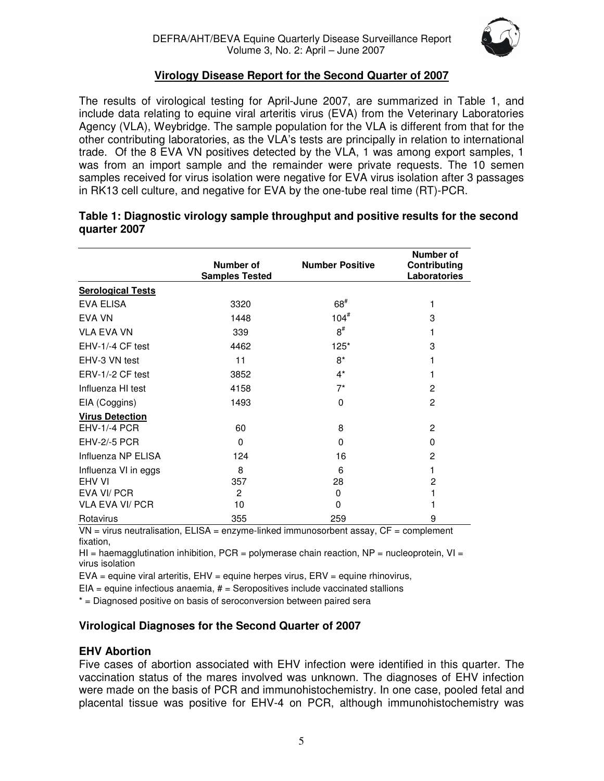

#### **Virology Disease Report for the Second Quarter of 2007**

The results of virological testing for April-June 2007, are summarized in Table 1, and include data relating to equine viral arteritis virus (EVA) from the Veterinary Laboratories Agency (VLA), Weybridge. The sample population for the VLA is different from that for the other contributing laboratories, as the VLA's tests are principally in relation to international trade. Of the 8 EVA VN positives detected by the VLA, 1 was among export samples, 1 was from an import sample and the remainder were private requests. The 10 semen samples received for virus isolation were negative for EVA virus isolation after 3 passages in RK13 cell culture, and negative for EVA by the one-tube real time (RT)-PCR.

|                          | Number of<br><b>Samples Tested</b> | <b>Number Positive</b> | Number of<br>Contributing<br>Laboratories |
|--------------------------|------------------------------------|------------------------|-------------------------------------------|
| <b>Serological Tests</b> |                                    |                        |                                           |
| <b>EVA ELISA</b>         | 3320                               | $68*$                  | 1                                         |
| <b>EVA VN</b>            | 1448                               | $104^{\#}$             | 3                                         |
| <b>VLA EVA VN</b>        | 339                                | $8^{\#}$               |                                           |
| EHV-1/-4 CF test         | 4462                               | $125*$                 | 3                                         |
| EHV-3 VN test            | 11                                 | $8*$                   |                                           |
| ERV-1/-2 CF test         | 3852                               | $4^*$                  | 1                                         |
| Influenza HI test        | 4158                               | $7^*$                  | 2                                         |
| EIA (Coggins)            | 1493                               | 0                      | $\mathbf{2}$                              |
| <b>Virus Detection</b>   |                                    |                        |                                           |
| <b>EHV-1/-4 PCR</b>      | 60                                 | 8                      | 2                                         |
| <b>EHV-2/-5 PCR</b>      | $\Omega$                           | 0                      | 0                                         |
| Influenza NP ELISA       | 124                                | 16                     | $\overline{2}$                            |
| Influenza VI in eggs     | 8                                  | 6                      | 1                                         |
| <b>FHV VI</b>            | 357                                | 28                     | 2                                         |
| EVA VI/ PCR              | 2                                  | 0                      |                                           |
| <b>VLA EVA VI/ PCR</b>   | 10                                 | 0                      |                                           |
| Rotavirus                | 355                                | 259                    | 9                                         |

#### **Table 1: Diagnostic virology sample throughput and positive results for the second quarter 2007**

 $VN =$  virus neutralisation,  $ELISA =$  enzyme-linked immunosorbent assay,  $CF =$  complement fixation,

HI = haemagglutination inhibition,  $PCR = polymerase$  chain reaction,  $NP = nucleoprotein$ ,  $VI =$ virus isolation

 $EVA =$  equine viral arteritis,  $EHV =$  equine herpes virus,  $ENV =$  equine rhinovirus,

 $EIA =$  equine infectious anaemia,  $#$  = Seropositives include vaccinated stallions

\* = Diagnosed positive on basis of seroconversion between paired sera

#### **Virological Diagnoses for the Second Quarter of 2007**

#### **EHV Abortion**

Five cases of abortion associated with EHV infection were identified in this quarter. The vaccination status of the mares involved was unknown. The diagnoses of EHV infection were made on the basis of PCR and immunohistochemistry. In one case, pooled fetal and placental tissue was positive for EHV-4 on PCR, although immunohistochemistry was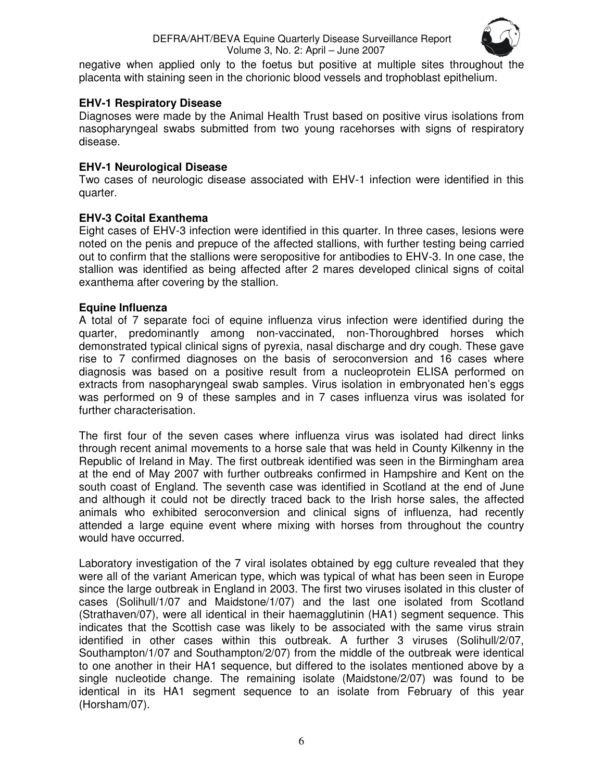

negative when applied only to the foetus but positive at multiple sites throughout the placenta with staining seen in the chorionic blood vessels and trophoblast epithelium.

#### **EHV-1 Respiratory Disease**

Diagnoses were made by the Animal Health Trust based on positive virus isolations from nasopharyngeal swabs submitted from two young racehorses with signs of respiratory disease.

#### **EHV-1 Neurological Disease**

Two cases of neurologic disease associated with EHV-1 infection were identified in this quarter.

#### **EHV-3 Coital Exanthema**

Eight cases of EHV-3 infection were identified in this quarter. In three cases, lesions were noted on the penis and prepuce of the affected stallions, with further testing being carried out to confirm that the stallions were seropositive for antibodies to EHV-3. In one case, the stallion was identified as being affected after 2 mares developed clinical signs of coital exanthema after covering by the stallion.

#### **Equine Influenza**

A total of 7 separate foci of equine influenza virus infection were identified during the quarter, predominantly among non-vaccinated, non-Thoroughbred horses which demonstrated typical clinical signs of pyrexia, nasal discharge and dry cough. These gave rise to 7 confirmed diagnoses on the basis of seroconversion and 16 cases where diagnosis was based on a positive result from a nucleoprotein ELISA performed on extracts from nasopharyngeal swab samples. Virus isolation in embryonated hen's eggs was performed on 9 of these samples and in 7 cases influenza virus was isolated for further characterisation.

The first four of the seven cases where influenza virus was isolated had direct links through recent animal movements to a horse sale that was held in County Kilkenny in the Republic of Ireland in May. The first outbreak identified was seen in the Birmingham area at the end of May 2007 with further outbreaks confirmed in Hampshire and Kent on the south coast of England. The seventh case was identified in Scotland at the end of June and although it could not be directly traced back to the Irish horse sales, the affected animals who exhibited seroconversion and clinical signs of influenza, had recently attended a large equine event where mixing with horses from throughout the country would have occurred.

Laboratory investigation of the 7 viral isolates obtained by egg culture revealed that they were all of the variant American type, which was typical of what has been seen in Europe since the large outbreak in England in 2003. The first two viruses isolated in this cluster of cases (Solihull/1/07 and Maidstone/1/07) and the last one isolated from Scotland (Strathaven/07), were all identical in their haemagglutinin (HA1) segment sequence. This indicates that the Scottish case was likely to be associated with the same virus strain identified in other cases within this outbreak. A further 3 viruses (Solihull/2/07, Southampton/1/07 and Southampton/2/07) from the middle of the outbreak were identical to one another in their HA1 sequence, but differed to the isolates mentioned above by a single nucleotide change. The remaining isolate (Maidstone/2/07) was found to be identical in its HA1 segment sequence to an isolate from February of this year (Horsham/07).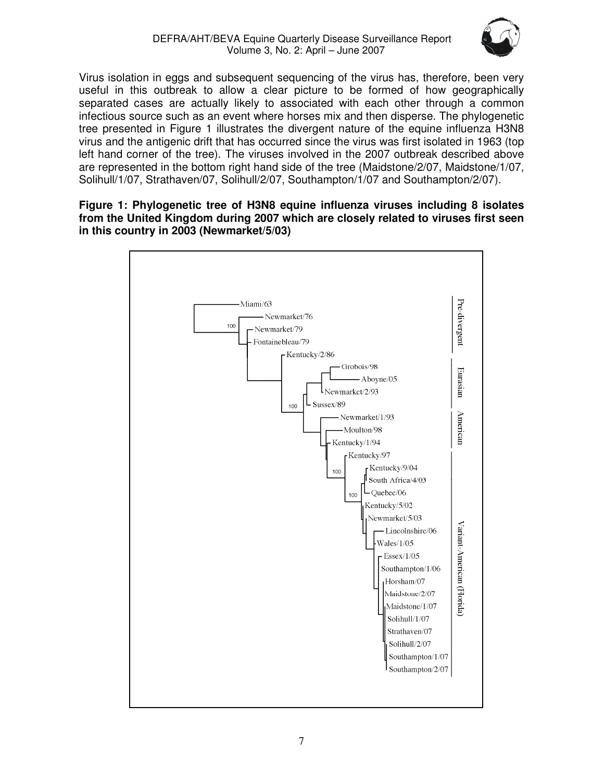

Virus isolation in eggs and subsequent sequencing of the virus has, therefore, been very useful in this outbreak to allow a clear picture to be formed of how geographically separated cases are actually likely to associated with each other through a common infectious source such as an event where horses mix and then disperse. The phylogenetic tree presented in Figure 1 illustrates the divergent nature of the equine influenza H3N8 virus and the antigenic drift that has occurred since the virus was first isolated in 1963 (top left hand corner of the tree). The viruses involved in the 2007 outbreak described above are represented in the bottom right hand side of the tree (Maidstone/2/07, Maidstone/1/07, Solihull/1/07, Strathaven/07, Solihull/2/07, Southampton/1/07 and Southampton/2/07).

#### **Figure 1: Phylogenetic tree of H3N8 equine influenza viruses including 8 isolates from the United Kingdom during 2007 which are closely related to viruses first seen in this country in 2003 (Newmarket/5/03)**

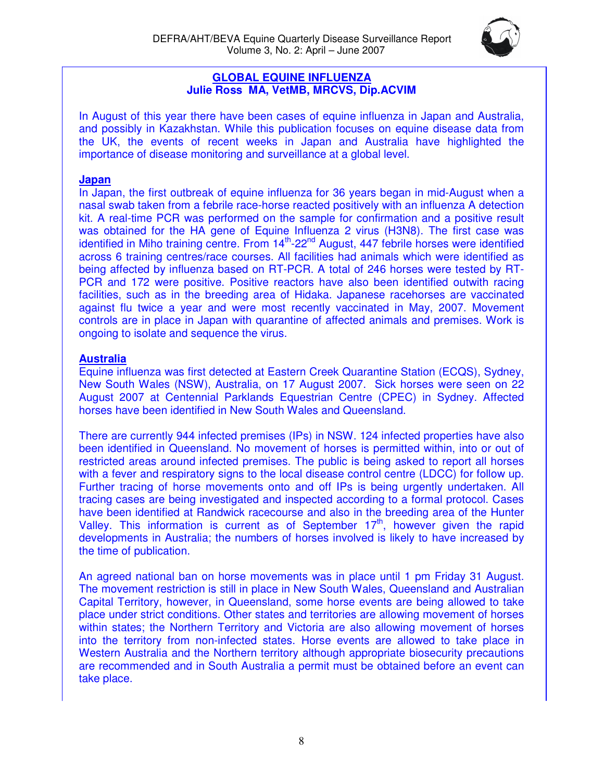

#### **GLOBAL EQUINE INFLUENZA Julie Ross MA, VetMB, MRCVS, Dip.ACVIM**

In August of this year there have been cases of equine influenza in Japan and Australia, and possibly in Kazakhstan. While this publication focuses on equine disease data from the UK, the events of recent weeks in Japan and Australia have highlighted the importance of disease monitoring and surveillance at a global level.

#### **Japan**

In Japan, the first outbreak of equine influenza for 36 years began in mid-August when a nasal swab taken from a febrile race-horse reacted positively with an influenza A detection kit. A real-time PCR was performed on the sample for confirmation and a positive result was obtained for the HA gene of Equine Influenza 2 virus (H3N8). The first case was identified in Miho training centre. From 14<sup>th</sup>-22<sup>nd</sup> August, 447 febrile horses were identified across 6 training centres/race courses. All facilities had animals which were identified as being affected by influenza based on RT-PCR. A total of 246 horses were tested by RT-PCR and 172 were positive. Positive reactors have also been identified outwith racing facilities, such as in the breeding area of Hidaka. Japanese racehorses are vaccinated against flu twice a year and were most recently vaccinated in May, 2007. Movement controls are in place in Japan with quarantine of affected animals and premises. Work is ongoing to isolate and sequence the virus.

#### **Australia**

Equine influenza was first detected at Eastern Creek Quarantine Station (ECQS), Sydney, New South Wales (NSW), Australia, on 17 August 2007. Sick horses were seen on 22 August 2007 at Centennial Parklands Equestrian Centre (CPEC) in Sydney. Affected horses have been identified in New South Wales and Queensland.

There are currently 944 infected premises (IPs) in NSW. 124 infected properties have also been identified in Queensland. No movement of horses is permitted within, into or out of restricted areas around infected premises. The public is being asked to report all horses with a fever and respiratory signs to the local disease control centre (LDCC) for follow up. Further tracing of horse movements onto and off IPs is being urgently undertaken. All tracing cases are being investigated and inspected according to a formal protocol. Cases have been identified at Randwick racecourse and also in the breeding area of the Hunter Valley. This information is current as of September  $17<sup>th</sup>$ , however given the rapid developments in Australia; the numbers of horses involved is likely to have increased by the time of publication.

An agreed national ban on horse movements was in place until 1 pm Friday 31 August. The movement restriction is still in place in New South Wales, Queensland and Australian Capital Territory, however, in Queensland, some horse events are being allowed to take place under strict conditions. Other states and territories are allowing movement of horses within states; the Northern Territory and Victoria are also allowing movement of horses into the territory from non-infected states. Horse events are allowed to take place in Western Australia and the Northern territory although appropriate biosecurity precautions are recommended and in South Australia a permit must be obtained before an event can take place.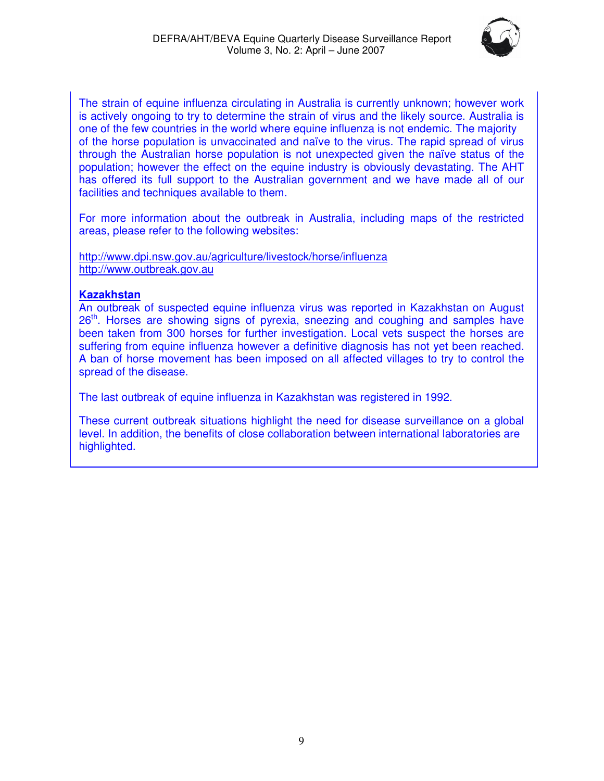

The strain of equine influenza circulating in Australia is currently unknown; however work is actively ongoing to try to determine the strain of virus and the likely source. Australia is one of the few countries in the world where equine influenza is not endemic. The majority of the horse population is unvaccinated and naïve to the virus. The rapid spread of virus through the Australian horse population is not unexpected given the naïve status of the population; however the effect on the equine industry is obviously devastating. The AHT has offered its full support to the Australian government and we have made all of our facilities and techniques available to them.

For more information about the outbreak in Australia, including maps of the restricted areas, please refer to the following websites:

http://www.dpi.nsw.gov.au/agriculture/livestock/horse/influenza http://www.outbreak.gov.au

#### **Kazakhstan**

An outbreak of suspected equine influenza virus was reported in Kazakhstan on August 26<sup>th</sup>. Horses are showing signs of pyrexia, sneezing and coughing and samples have been taken from 300 horses for further investigation. Local vets suspect the horses are suffering from equine influenza however a definitive diagnosis has not yet been reached. A ban of horse movement has been imposed on all affected villages to try to control the spread of the disease.

The last outbreak of equine influenza in Kazakhstan was registered in 1992.

These current outbreak situations highlight the need for disease surveillance on a global level. In addition, the benefits of close collaboration between international laboratories are highlighted.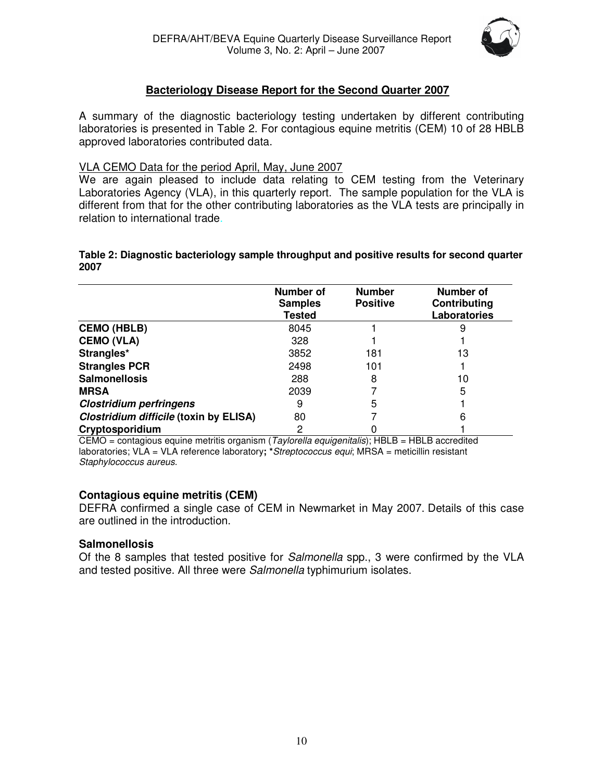

#### **Bacteriology Disease Report for the Second Quarter 2007**

A summary of the diagnostic bacteriology testing undertaken by different contributing laboratories is presented in Table 2. For contagious equine metritis (CEM) 10 of 28 HBLB approved laboratories contributed data.

#### VLA CEMO Data for the period April, May, June 2007

We are again pleased to include data relating to CEM testing from the Veterinary Laboratories Agency (VLA), in this quarterly report. The sample population for the VLA is different from that for the other contributing laboratories as the VLA tests are principally in relation to international trade.

#### **Table 2: Diagnostic bacteriology sample throughput and positive results for second quarter 2007**

|                                        | Number of<br><b>Samples</b><br><b>Tested</b> | <b>Number</b><br><b>Positive</b> | Number of<br>Contributing<br>Laboratories |
|----------------------------------------|----------------------------------------------|----------------------------------|-------------------------------------------|
| <b>CEMO (HBLB)</b>                     | 8045                                         |                                  |                                           |
| <b>CEMO (VLA)</b>                      | 328                                          |                                  |                                           |
| Strangles*                             | 3852                                         | 181                              | 13                                        |
| <b>Strangles PCR</b>                   | 2498                                         | 101                              |                                           |
| <b>Salmonellosis</b>                   | 288                                          | 8                                | 10                                        |
| <b>MRSA</b>                            | 2039                                         |                                  | 5                                         |
| <b>Clostridium perfringens</b>         | 9                                            | 5                                |                                           |
| Clostridium difficile (toxin by ELISA) | 80                                           |                                  | 6                                         |
| Cryptosporidium                        | 2                                            |                                  |                                           |

CEMO = contagious equine metritis organism (*Taylorella equigenitalis*); HBLB = HBLB accredited laboratories; VLA = VLA reference laboratory**; \****Streptococcus equi*; MRSA = meticillin resistant *Staphylococcus aureus.*

#### **Contagious equine metritis (CEM)**

DEFRA confirmed a single case of CEM in Newmarket in May 2007. Details of this case are outlined in the introduction.

#### **Salmonellosis**

Of the 8 samples that tested positive for *Salmonella* spp., 3 were confirmed by the VLA and tested positive. All three were *Salmonella* typhimurium isolates.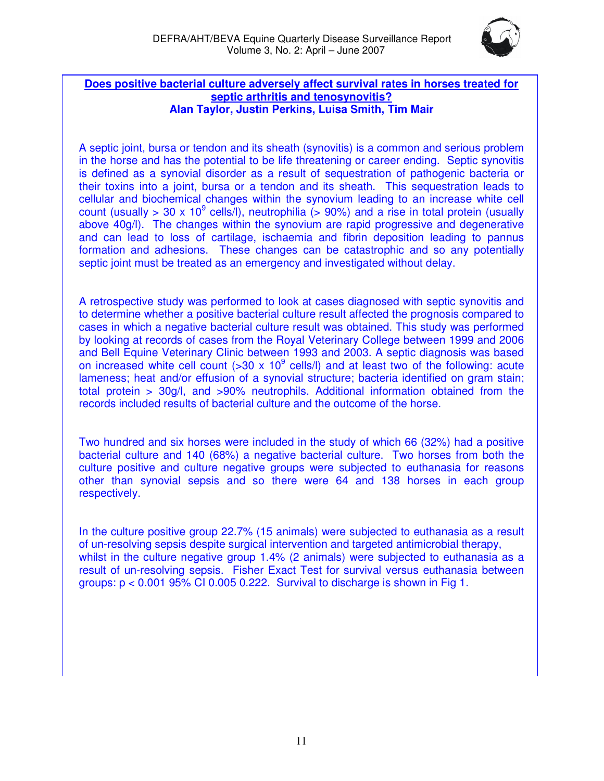

#### **Does positive bacterial culture adversely affect survival rates in horses treated for septic arthritis and tenosynovitis? Alan Taylor, Justin Perkins, Luisa Smith, Tim Mair**

A septic joint, bursa or tendon and its sheath (synovitis) is a common and serious problem in the horse and has the potential to be life threatening or career ending. Septic synovitis is defined as a synovial disorder as a result of sequestration of pathogenic bacteria or their toxins into a joint, bursa or a tendon and its sheath. This sequestration leads to cellular and biochemical changes within the synovium leading to an increase white cell count (usually > 30 x 10<sup>9</sup> cells/l), neutrophilia (> 90%) and a rise in total protein (usually above 40g/l). The changes within the synovium are rapid progressive and degenerative and can lead to loss of cartilage, ischaemia and fibrin deposition leading to pannus formation and adhesions. These changes can be catastrophic and so any potentially septic joint must be treated as an emergency and investigated without delay.

A retrospective study was performed to look at cases diagnosed with septic synovitis and to determine whether a positive bacterial culture result affected the prognosis compared to cases in which a negative bacterial culture result was obtained. This study was performed by looking at records of cases from the Royal Veterinary College between 1999 and 2006 and Bell Equine Veterinary Clinic between 1993 and 2003. A septic diagnosis was based on increased white cell count  $($ >30 x 10<sup>9</sup> cells/l) and at least two of the following: acute lameness; heat and/or effusion of a synovial structure; bacteria identified on gram stain; total protein > 30g/l, and >90% neutrophils. Additional information obtained from the records included results of bacterial culture and the outcome of the horse.

Two hundred and six horses were included in the study of which 66 (32%) had a positive bacterial culture and 140 (68%) a negative bacterial culture. Two horses from both the culture positive and culture negative groups were subjected to euthanasia for reasons other than synovial sepsis and so there were 64 and 138 horses in each group respectively.

In the culture positive group 22.7% (15 animals) were subjected to euthanasia as a result of un-resolving sepsis despite surgical intervention and targeted antimicrobial therapy, whilst in the culture negative group 1.4% (2 animals) were subjected to euthanasia as a result of un-resolving sepsis. Fisher Exact Test for survival versus euthanasia between groups:  $p < 0.001$  95% CI 0.005 0.222. Survival to discharge is shown in Fig 1.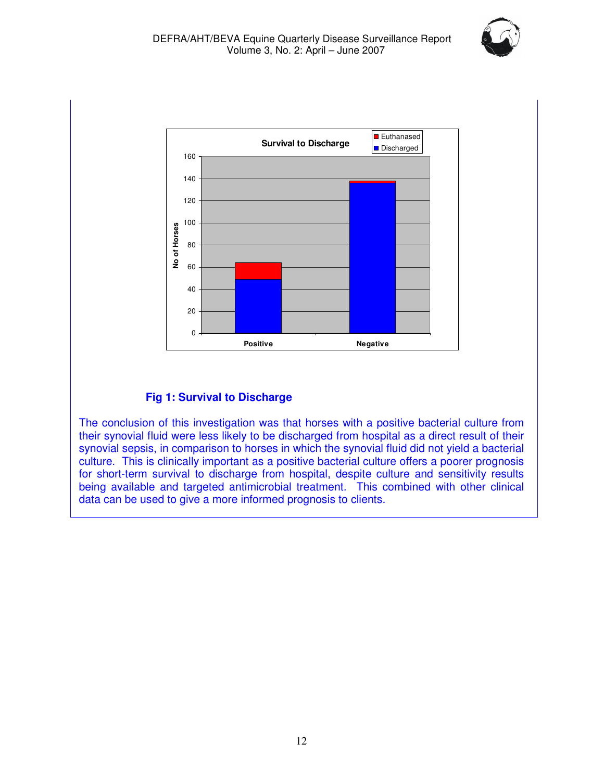



#### **Fig 1: Survival to Discharge**

The conclusion of this investigation was that horses with a positive bacterial culture from their synovial fluid were less likely to be discharged from hospital as a direct result of their synovial sepsis, in comparison to horses in which the synovial fluid did not yield a bacterial culture. This is clinically important as a positive bacterial culture offers a poorer prognosis for short-term survival to discharge from hospital, despite culture and sensitivity results being available and targeted antimicrobial treatment. This combined with other clinical data can be used to give a more informed prognosis to clients.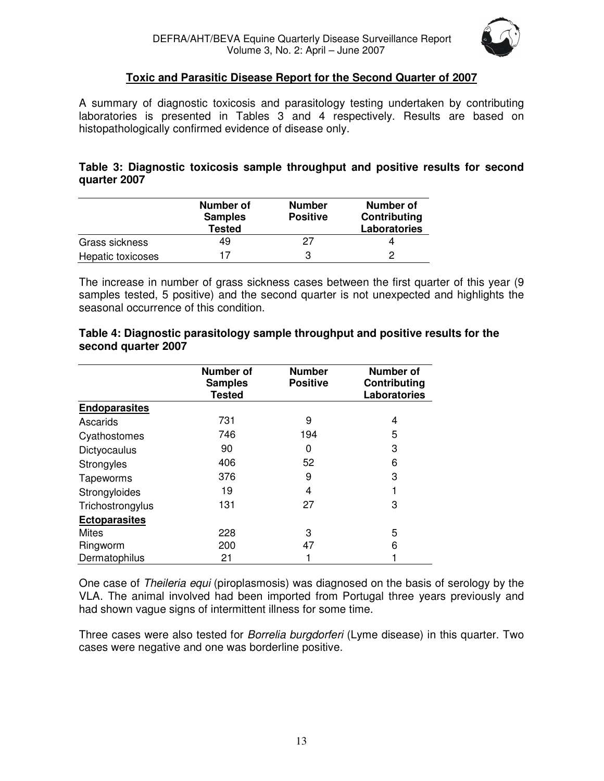

#### **Toxic and Parasitic Disease Report for the Second Quarter of 2007**

A summary of diagnostic toxicosis and parasitology testing undertaken by contributing laboratories is presented in Tables 3 and 4 respectively. Results are based on histopathologically confirmed evidence of disease only.

#### **Table 3: Diagnostic toxicosis sample throughput and positive results for second quarter 2007**

|                   | Number of<br><b>Samples</b><br><b>Tested</b> | <b>Number</b><br><b>Positive</b> | Number of<br>Contributing<br>Laboratories |
|-------------------|----------------------------------------------|----------------------------------|-------------------------------------------|
| Grass sickness    | 49                                           | 27                               |                                           |
| Hepatic toxicoses | 17                                           | 3                                |                                           |

The increase in number of grass sickness cases between the first quarter of this year (9 samples tested, 5 positive) and the second quarter is not unexpected and highlights the seasonal occurrence of this condition.

|                      | <b>Number of</b><br><b>Samples</b><br><b>Tested</b> | <b>Number</b><br><b>Positive</b> | Number of<br>Contributing<br><b>Laboratories</b> |
|----------------------|-----------------------------------------------------|----------------------------------|--------------------------------------------------|
| <b>Endoparasites</b> |                                                     |                                  |                                                  |
| Ascarids             | 731                                                 | 9                                | 4                                                |
| Cyathostomes         | 746                                                 | 194                              | 5                                                |
| Dictyocaulus         | 90                                                  | 0                                | 3                                                |
| Strongyles           | 406                                                 | 52                               | 6                                                |
| Tapeworms            | 376                                                 | 9                                | 3                                                |
| Strongyloides        | 19                                                  | 4                                |                                                  |
| Trichostrongylus     | 131                                                 | 27                               | 3                                                |
| <b>Ectoparasites</b> |                                                     |                                  |                                                  |
| <b>Mites</b>         | 228                                                 | 3                                | 5                                                |
| Ringworm             | 200                                                 | 47                               | 6                                                |
| Dermatophilus        | 21                                                  |                                  |                                                  |

#### **Table 4: Diagnostic parasitology sample throughput and positive results for the second quarter 2007**

One case of *Theileria equi* (piroplasmosis) was diagnosed on the basis of serology by the VLA. The animal involved had been imported from Portugal three years previously and had shown vague signs of intermittent illness for some time.

Three cases were also tested for *Borrelia burgdorferi* (Lyme disease) in this quarter. Two cases were negative and one was borderline positive.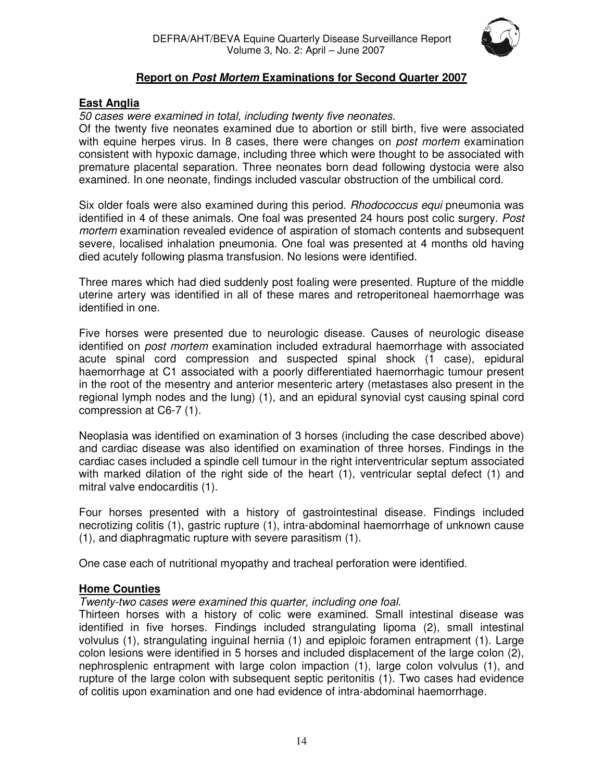

#### **Report on** *Post Mortem* **Examinations for Second Quarter 2007**

#### **East Anglia**

#### *50 cases were examined in total, including twenty five neonates.*

Of the twenty five neonates examined due to abortion or still birth, five were associated with equine herpes virus. In 8 cases, there were changes on *post mortem* examination consistent with hypoxic damage, including three which were thought to be associated with premature placental separation. Three neonates born dead following dystocia were also examined. In one neonate, findings included vascular obstruction of the umbilical cord.

Six older foals were also examined during this period. *Rhodococcus equi* pneumonia was identified in 4 of these animals. One foal was presented 24 hours post colic surgery. *Post mortem* examination revealed evidence of aspiration of stomach contents and subsequent severe, localised inhalation pneumonia. One foal was presented at 4 months old having died acutely following plasma transfusion. No lesions were identified*.*

Three mares which had died suddenly post foaling were presented. Rupture of the middle uterine artery was identified in all of these mares and retroperitoneal haemorrhage was identified in one.

Five horses were presented due to neurologic disease. Causes of neurologic disease identified on *post mortem* examination included extradural haemorrhage with associated acute spinal cord compression and suspected spinal shock (1 case), epidural haemorrhage at C1 associated with a poorly differentiated haemorrhagic tumour present in the root of the mesentry and anterior mesenteric artery (metastases also present in the regional lymph nodes and the lung) (1), and an epidural synovial cyst causing spinal cord compression at C6-7 (1).

Neoplasia was identified on examination of 3 horses (including the case described above) and cardiac disease was also identified on examination of three horses. Findings in the cardiac cases included a spindle cell tumour in the right interventricular septum associated with marked dilation of the right side of the heart (1), ventricular septal defect (1) and mitral valve endocarditis (1).

Four horses presented with a history of gastrointestinal disease. Findings included necrotizing colitis (1), gastric rupture (1), intra-abdominal haemorrhage of unknown cause (1), and diaphragmatic rupture with severe parasitism (1).

One case each of nutritional myopathy and tracheal perforation were identified.

#### **Home Counties**

#### *Twenty-two cases were examined this quarter, including one foal.*

Thirteen horses with a history of colic were examined. Small intestinal disease was identified in five horses. Findings included strangulating lipoma (2), small intestinal volvulus (1), strangulating inguinal hernia (1) and epiploic foramen entrapment (1). Large colon lesions were identified in 5 horses and included displacement of the large colon (2), nephrosplenic entrapment with large colon impaction (1), large colon volvulus (1), and rupture of the large colon with subsequent septic peritonitis (1). Two cases had evidence of colitis upon examination and one had evidence of intra-abdominal haemorrhage.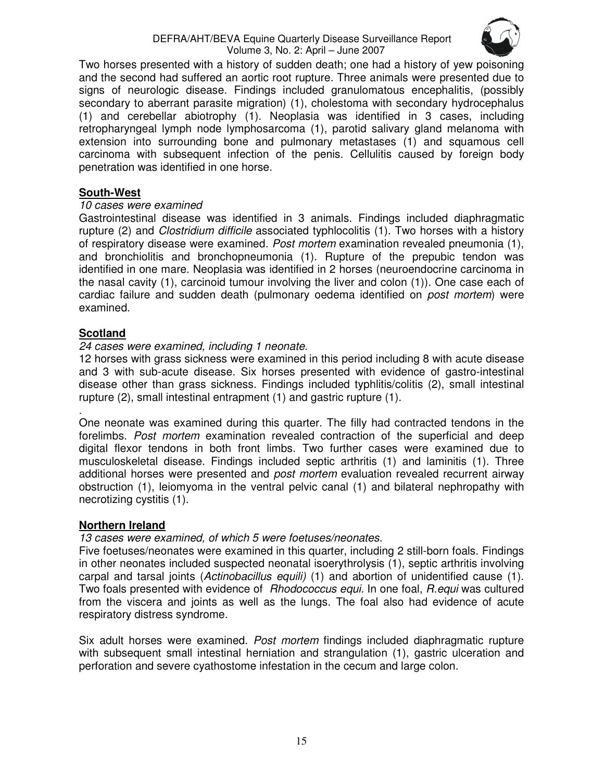

Two horses presented with a history of sudden death; one had a history of yew poisoning and the second had suffered an aortic root rupture. Three animals were presented due to signs of neurologic disease. Findings included granulomatous encephalitis, (possibly secondary to aberrant parasite migration) (1), cholestoma with secondary hydrocephalus (1) and cerebellar abiotrophy (1). Neoplasia was identified in 3 cases, including retropharyngeal lymph node lymphosarcoma (1), parotid salivary gland melanoma with extension into surrounding bone and pulmonary metastases (1) and squamous cell carcinoma with subsequent infection of the penis. Cellulitis caused by foreign body penetration was identified in one horse.

#### **South-West**

#### *10 cases were examined*

Gastrointestinal disease was identified in 3 animals. Findings included diaphragmatic rupture (2) and *Clostridium difficile* associated typhlocolitis (1). Two horses with a history of respiratory disease were examined. *Post mortem* examination revealed pneumonia (1), and bronchiolitis and bronchopneumonia (1). Rupture of the prepubic tendon was identified in one mare. Neoplasia was identified in 2 horses (neuroendocrine carcinoma in the nasal cavity (1), carcinoid tumour involving the liver and colon (1)). One case each of cardiac failure and sudden death (pulmonary oedema identified on *post mortem*) were examined.

#### **Scotland**

#### *24 cases were examined, including 1 neonate.*

12 horses with grass sickness were examined in this period including 8 with acute disease and 3 with sub-acute disease. Six horses presented with evidence of gastro-intestinal disease other than grass sickness. Findings included typhlitis/colitis (2), small intestinal rupture (2), small intestinal entrapment (1) and gastric rupture (1).

. One neonate was examined during this quarter. The filly had contracted tendons in the forelimbs. *Post mortem* examination revealed contraction of the superficial and deep digital flexor tendons in both front limbs. Two further cases were examined due to musculoskeletal disease. Findings included septic arthritis (1) and laminitis (1). Three additional horses were presented and *post mortem* evaluation revealed recurrent airway obstruction (1), leiomyoma in the ventral pelvic canal (1) and bilateral nephropathy with necrotizing cystitis (1).

#### **Northern Ireland**

#### *13 cases were examined, of which 5 were foetuses/neonates.*

Five foetuses/neonates were examined in this quarter, including 2 still-born foals. Findings in other neonates included suspected neonatal isoerythrolysis (1), septic arthritis involving carpal and tarsal joints (*Actinobacillus equili)* (1) and abortion of unidentified cause (1). Two foals presented with evidence of *Rhodococcus equi.* In one foal, *R.equi* was cultured from the viscera and joints as well as the lungs. The foal also had evidence of acute respiratory distress syndrome.

Six adult horses were examined. *Post mortem* findings included diaphragmatic rupture with subsequent small intestinal herniation and strangulation (1), gastric ulceration and perforation and severe cyathostome infestation in the cecum and large colon.